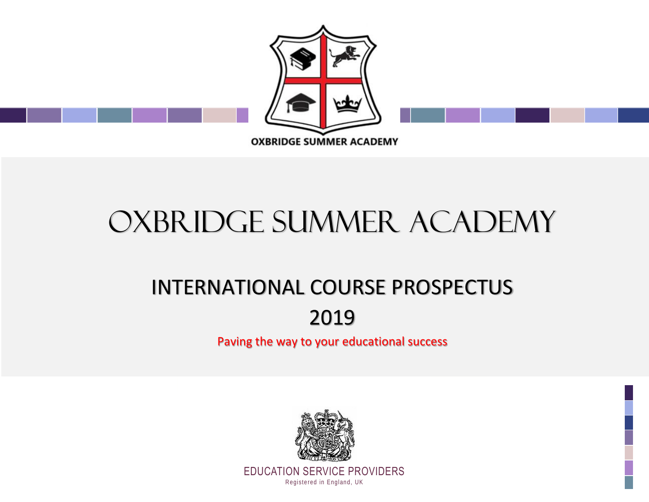

# OXBRIDGE SUMMER ACADEMY

## INTERNATIONAL COURSE PROSPECTUS

### 2019

Paving the way to your educational success

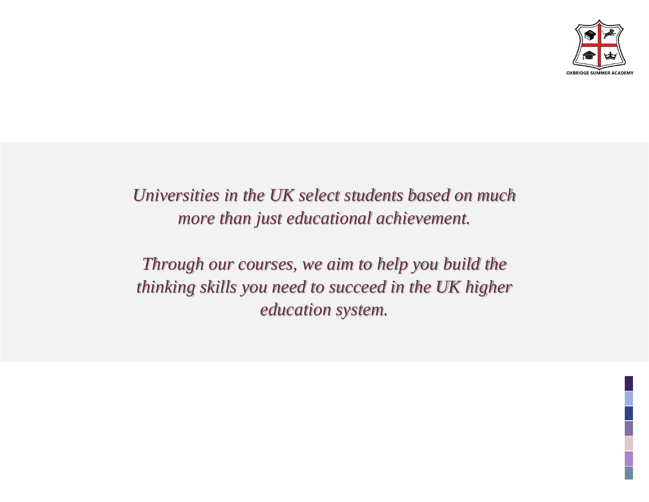

### *Universities in the UK select students based on much more than just educational achievement.*

*Through our courses, we aim to help you build the thinking skills you need to succeed in the UK higher education system.*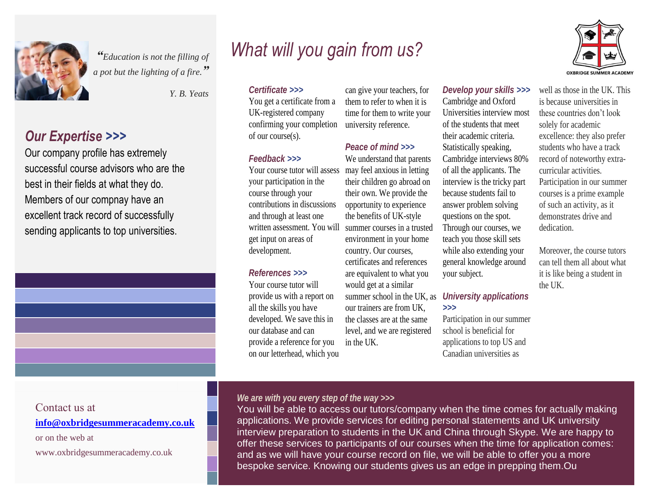

*"Education is not the filling of <sup>a</sup> pot but the lighting of a fire." a fire.*

#### *Our Expertise >>> Our Expertise >>>*

Our company profile has extremely  $\frac{1}{\sqrt{2}}$  course advisors who are  $\frac{1}{\sqrt{2}}$ best in their fields in what they do. Members of our compnay have an excellent track record of successfully sending applicants to top universities. Our company profile has extremely successful course advisors who are the best in their fields at what they do. Members of our compnay have an excellent track record of successfully sending applicants to top universities.

### *What will you gain from us?*



#### *Y. B. Yeats Certificate >>>*

You get a certificate from a UK-registered company confirming your completion of our course(s).

#### *Feedback >>>*

Your course tutor will assess your participation in the course through your contributions in discussions and through at least one written assessment. You will summer courses in a trusted get input on areas of development.

#### *References >>>*

Your course tutor will provide us with a report on all the skills you have developed. We save this in our database and can provide a reference for you on our letterhead, which you

can give your teachers, for them to refer to when it is time for them to write your university reference.

#### *Peace of mind >>>*

We understand that parents may feel anxious in letting their children go abroad on their own. We provide the opportunity to experience the benefits of UK-style environment in your home country. Our courses, certificates and references are equivalent to what you would get at a similar summer school in the UK, as our trainers are from UK, the classes are at the same level, and we are registered in the UK.

#### *Develop your skills >>>*

Cambridge and Oxford Universities interview most of the students that meet their academic criteria. Statistically speaking, Cambridge interviews 80% of all the applicants. The interview is the tricky part because students fail to answer problem solving questions on the spot. Through our courses, we teach you those skill sets while also extending your general knowledge around your subject.

#### *University applications >>>*

Participation in our summer school is beneficial for applications to top US and Canadian universities as

well as those in the UK. This is because universities in these countries don't look solely for academic excellence: they also prefer students who have a track record of noteworthy extracurricular activities. Participation in our summer courses is a prime example of such an activity, as it demonstrates drive and dedication.

Moreover, the course tutors can tell them all about what it is like being a student in the UK.

#### Contact us at

**[info@oxbridgesummeracademy.co.uk](mailto:info@oxbridgesummeracademy.co.uk)**

or on the web at

www.oxbridgesummeracademy.co.uk

#### *We are with you every step of the way >>>*

You will be able to access our tutors/company when the time comes for actually making applications. We provide services for editing personal statements and UK university interview preparation to students in the UK and China through Skype. We are happy to offer these services to participants of our courses when the time for application comes: and as we will have your course record on file, we will be able to offer you a more bespoke service. Knowing our students gives us an edge in prepping them.Ou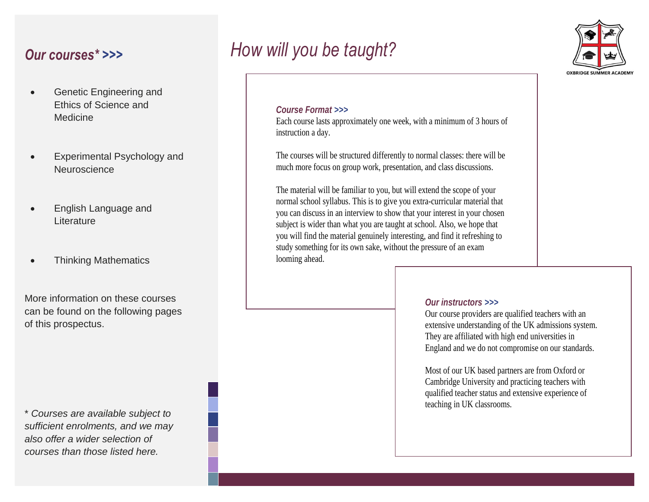### *Our courses\* >>>*

- Genetic Engineering and Ethics of Science and **Medicine**
- Experimental Psychology and best in their fields in what they do. **Neuroscience**
- English Language and excellent track record of successive conduction of successive  $\mathbb{R}$
- Thinking Mathematics

More information on these courses can be found on the following pages of this prospectus.

\* *Courses are available subject to sufficient enrolments, and we may also offer a wider selection of courses than those listed here.*

### *How will you be taught?*



#### *Course Format >>>*

Each course lasts approximately one week, with a minimum of 3 hours of instruction a day.

The courses will be structured differently to normal classes: there will be much more focus on group work, presentation, and class discussions.

The material will be familiar to you, but will extend the scope of your normal school syllabus. This is to give you extra-curricular material that you can discuss in an interview to show that your interest in your chosen subject is wider than what you are taught at school. Also, we hope that you will find the material genuinely interesting, and find it refreshing to study something for its own sake, without the pressure of an exam looming ahead.

#### *Our instructors >>>*

Our course providers are qualified teachers with an extensive understanding of the UK admissions system. They are affiliated with high end universities in England and we do not compromise on our standards.

Most of our UK based partners are from Oxford or Cambridge University and practicing teachers with qualified teacher status and extensive experience of teaching in UK classrooms.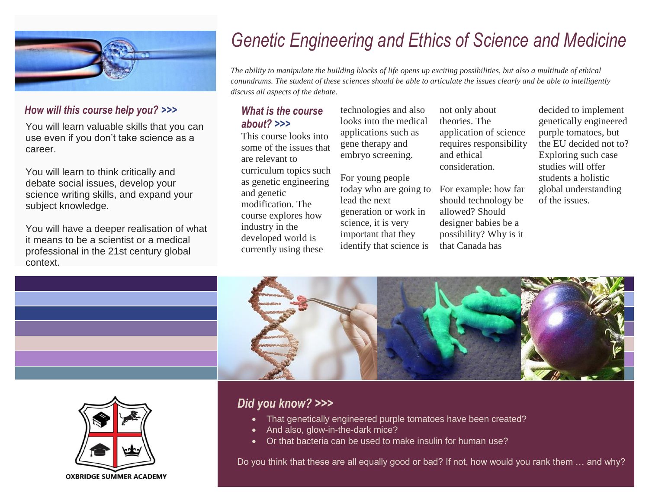

#### *How will this course help you? >>>*

You will learn valuable skills that you can use even if you don't take science as a career.

You will learn to think critically and debate social issues, develop your science writing skills, and expand your subject knowledge.

You will have a deeper realisation of what it means to be a scientist or a medical professional in the 21st century global context.

### *Genetic Engineering and Ethics of Science and Medicine*

*The ability to manipulate the building blocks of life opens up exciting possibilities, but also a multitude of ethical conundrums. The student of these sciences should be able to articulate the issues clearly and be able to intelligently discuss all aspects of the debate.*

#### *What is the course about? >>>*

This course looks into some of the issues that are relevant to curriculum topics such as genetic engineering and genetic modification. The course explores how industry in the developed world is currently using these

technologies and also looks into the medical applications such as gene therapy and embryo screening.

For young people today who are going to lead the next generation or work in science, it is very important that they identify that science is

not only about theories. The application of science requires responsibility and ethical consideration.

For example: how far should technology be allowed? Should designer babies be a possibility? Why is it that Canada has

decided to implement genetically engineered purple tomatoes, but the EU decided not to? Exploring such case studies will offer students a holistic global understanding of the issues.





#### *Did you know? >>>*

- That genetically engineered purple tomatoes have been created?
- And also, glow-in-the-dark mice?
- Or that bacteria can be used to make insulin for human use?

Do you think that these are all equally good or bad? If not, how would you rank them … and why?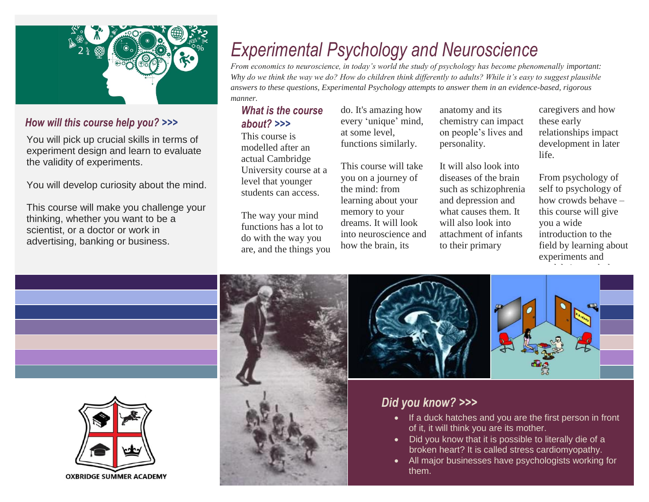

#### *How will this course help you? >>>*

You will pick up crucial skills in terms of experiment design and learn to evaluate the validity of experiments.

You will develop curiosity about the mind.

This course will make you challenge your thinking, whether you want to be a scientist, or a doctor or work in advertising, banking or business.

### *Experimental Psychology and Neuroscience*

*From economics to neuroscience, in today's world the study of psychology has become phenomenally important: Why do we think the way we do? How do children think differently to adults? While it's easy to suggest plausible answers to these questions, Experimental Psychology attempts to answer them in an evidence-based, rigorous manner.*

#### *What is the course about? >>>*

This course is modelled after an actual Cambridge University course at a level that younger students can access.

The way your mind functions has a lot to do with the way you are, and the things you do. It's amazing how every 'unique' mind, at some level, functions similarly.

This course will take you on a journey of the mind: from learning about your memory to your dreams. It will look into neuroscience and how the brain, its

anatomy and its chemistry can impact on people's lives and personality.

It will also look into diseases of the brain such as schizophrenia and depression and what causes them. It will also look into attachment of infants to their primary

caregivers and how these early relationships impact development in later life.

From psychology of self to psychology of how crowds behave – this course will give you a wide introduction to the field by learning about experiments and models in psychology.





#### *Did you know? >>>*

- If a duck hatches and you are the first person in front of it, it will think you are its mother.
- Did you know that it is possible to literally die of a broken heart? It is called stress cardiomyopathy.
- All major businesses have psychologists working for them.

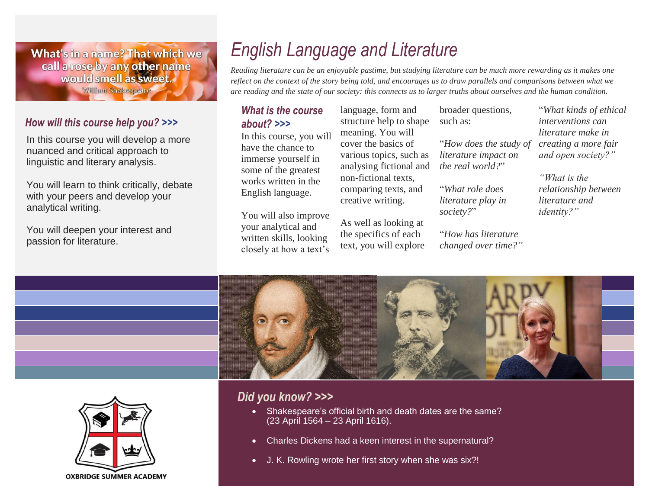What's in a name? That which we call a rose by any other name would smell as sweet. William Shakespeare

#### *How will this course help you? >>>*

In this course you will develop a more nuanced and critical approach to linguistic and literary analysis.

You will learn to think critically, debate with your peers and develop your analytical writing.

You will deepen your interest and passion for literature.

### *English Language and Literature*

*Reading literature can be an enjoyable pastime, but studying literature can be much more rewarding as it makes one reflect on the context of the story being told, and encourages us to draw parallels and comparisons between what we are reading and the state of our society: this connects us to larger truths about ourselves and the human condition.*

#### *What is the course about? >>>*

In this course, you will have the chance to immerse yourself in some of the greatest works written in the English language.

You will also improve your analytical and written skills, looking closely at how a text's

language, form and structure help to shape meaning. You will cover the basics of various topics, such as analysing fictional and non-fictional texts, comparing texts, and creative writing.

As well as looking at the specifics of each text, you will explore

broader questions, such as:

"*How does the study of literature impact on the real world?*"

"*What role does literature play in society?*"

"*How has literature changed over time?"*

"*What kinds of ethical interventions can literature make in creating a more fair and open society?"*

*"What is the relationship between literature and identity?"*



#### *Did you know? >>>*

- Shakespeare's official birth and death dates are the same? (23 April 1564 – 23 April 1616).
- Charles Dickens had a keen interest in the supernatural?
- J. K. Rowling wrote her first story when she was six?!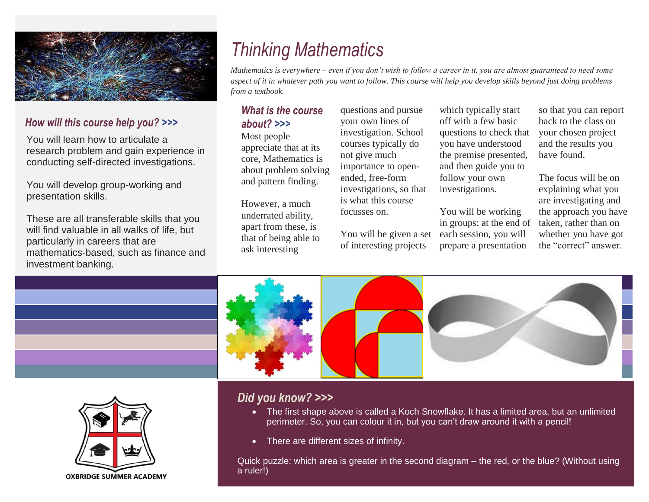

#### *How will this course help you? >>>*

You will learn how to articulate a research problem and gain experience in conducting self-directed investigations.

You will develop group-working and presentation skills.

These are all transferable skills that you will find valuable in all walks of life, but particularly in careers that are mathematics-based, such as finance and investment banking.

### *Thinking Mathematics*

*Mathematics is everywhere – even if you don't wish to follow a career in it, you are almost guaranteed to need some aspect of it in whatever path you want to follow. This course will help you develop skills beyond just doing problems from a textbook.*

#### *What is the course about? >>>*

Most people appreciate that at its core, Mathematics is about problem solving and pattern finding.

However, a much underrated ability, apart from these, is that of being able to ask interesting

questions and pursue your own lines of investigation. School courses typically do not give much importance to openended, free-form investigations, so that is what this course focusses on.

You will be given a set of interesting projects

which typically start off with a few basic questions to check that you have understood the premise presented, and then guide you to follow your own investigations.

You will be working in groups: at the end of each session, you will prepare a presentation

so that you can report back to the class on your chosen project and the results you have found.

The focus will be on explaining what you are investigating and the approach you have taken, rather than on whether you have got the "correct" answer.





#### *Did you know? >>>*

- The first shape above is called a Koch Snowflake. It has a limited area, but an unlimited perimeter. So, you can colour it in, but you can't draw around it with a pencil!
- There are different sizes of infinity.

Quick puzzle: which area is greater in the second diagram – the red, or the blue? (Without using a ruler!)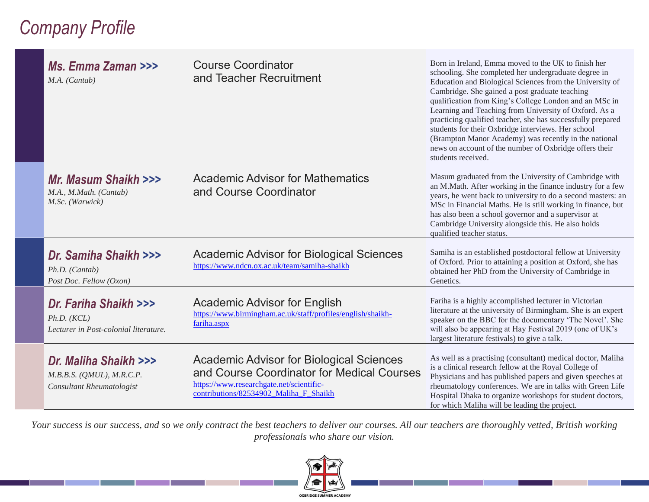### *Company Profile*

| Ms. Emma Zaman >>><br>M.A. (Cantab)                                                        | <b>Course Coordinator</b><br>and Teacher Recruitment                                                                                                                                | Born in Ireland, Emma moved to the UK to finish her<br>schooling. She completed her undergraduate degree in<br>Education and Biological Sciences from the University of<br>Cambridge. She gained a post graduate teaching<br>qualification from King's College London and an MSc in<br>Learning and Teaching from University of Oxford. As a<br>practicing qualified teacher, she has successfully prepared<br>students for their Oxbridge interviews. Her school<br>(Brampton Manor Academy) was recently in the national<br>news on account of the number of Oxbridge offers their<br>students received. |
|--------------------------------------------------------------------------------------------|-------------------------------------------------------------------------------------------------------------------------------------------------------------------------------------|------------------------------------------------------------------------------------------------------------------------------------------------------------------------------------------------------------------------------------------------------------------------------------------------------------------------------------------------------------------------------------------------------------------------------------------------------------------------------------------------------------------------------------------------------------------------------------------------------------|
| Mr. Masum Shaikh >>><br>M.A., M.Math. (Cantab)<br>M.Sc. (Warwick)                          | <b>Academic Advisor for Mathematics</b><br>and Course Coordinator                                                                                                                   | Masum graduated from the University of Cambridge with<br>an M.Math. After working in the finance industry for a few<br>years, he went back to university to do a second masters: an<br>MSc in Financial Maths. He is still working in finance, but<br>has also been a school governor and a supervisor at<br>Cambridge University alongside this. He also holds<br>qualified teacher status.                                                                                                                                                                                                               |
| Dr. Samiha Shaikh >>><br>Ph.D. (Cantab)<br>Post Doc. Fellow (Oxon)                         | <b>Academic Advisor for Biological Sciences</b><br>https://www.ndcn.ox.ac.uk/team/samiha-shaikh                                                                                     | Samiha is an established postdoctoral fellow at University<br>of Oxford. Prior to attaining a position at Oxford, she has<br>obtained her PhD from the University of Cambridge in<br>Genetics.                                                                                                                                                                                                                                                                                                                                                                                                             |
| Dr. Fariha Shaikh >>><br>Ph.D. (KCL)<br>Lecturer in Post-colonial literature.              | Academic Advisor for English<br>https://www.birmingham.ac.uk/staff/profiles/english/shaikh-<br>fariha.aspx                                                                          | Fariha is a highly accomplished lecturer in Victorian<br>literature at the university of Birmingham. She is an expert<br>speaker on the BBC for the documentary 'The Novel'. She<br>will also be appearing at Hay Festival 2019 (one of UK's<br>largest literature festivals) to give a talk.                                                                                                                                                                                                                                                                                                              |
| Dr. Maliha Shaikh >>><br>$M.B.B.S.$ (QMUL), $M.R.C.P.$<br><b>Consultant Rheumatologist</b> | <b>Academic Advisor for Biological Sciences</b><br>and Course Coordinator for Medical Courses<br>https://www.researchgate.net/scientific-<br>contributions/82534902 Maliha F Shaikh | As well as a practising (consultant) medical doctor, Maliha<br>is a clinical research fellow at the Royal College of<br>Physicians and has published papers and given speeches at<br>rheumatology conferences. We are in talks with Green Life<br>Hospital Dhaka to organize workshops for student doctors,<br>for which Maliha will be leading the project.                                                                                                                                                                                                                                               |

*Your success is our success, and so we only contract the best teachers to deliver our courses. All our teachers are thoroughly vetted, British working professionals who share our vision.*